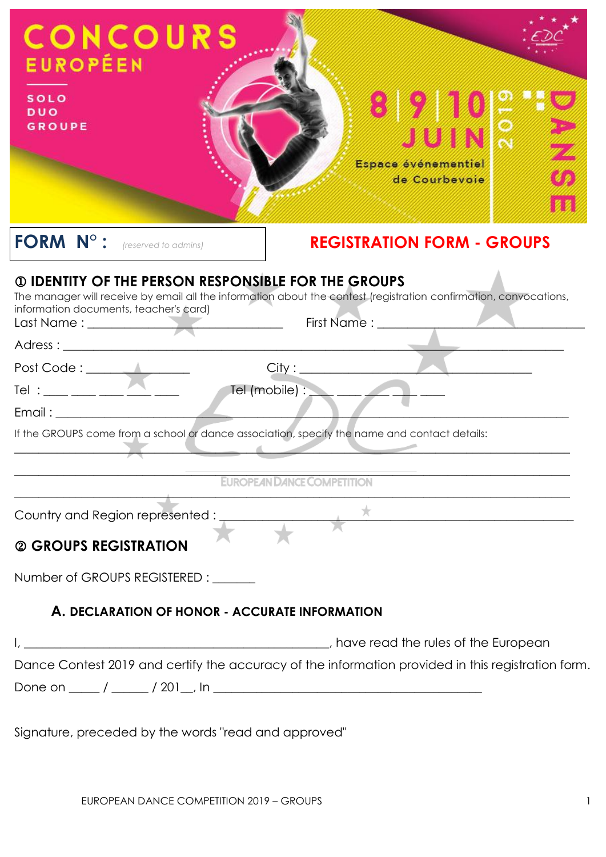| <b>CONCOURS</b><br><b>EUROPÉEN</b><br><b>SOLO</b><br><b>DUO</b><br><b>GROUPE</b>                    | $\cdot$<br>JUIN<br>Espace événementiel<br>de Courbevoie                                                           |  |
|-----------------------------------------------------------------------------------------------------|-------------------------------------------------------------------------------------------------------------------|--|
| FORM N° : (reserved to admins)                                                                      | <b>REGISTRATION FORM - GROUPS</b>                                                                                 |  |
| <b>1 DENTITY OF THE PERSON RESPONSIBLE FOR THE GROUPS</b><br>information documents, teacher's card) | The manager will receive by email all the information about the contest (registration confirmation, convocations, |  |
|                                                                                                     |                                                                                                                   |  |
|                                                                                                     |                                                                                                                   |  |
|                                                                                                     |                                                                                                                   |  |
| If the GROUPS come from a school or dance association, specify the name and contact details:        |                                                                                                                   |  |
|                                                                                                     | EUROPEAN DANCE COMPETITION                                                                                        |  |
| Country and Region represented : $\overline{a}$                                                     |                                                                                                                   |  |
| @ GROUPS REGISTRATION                                                                               |                                                                                                                   |  |
| Number of GROUPS REGISTERED : ______                                                                |                                                                                                                   |  |
| A. DECLARATION OF HONOR - ACCURATE INFORMATION                                                      |                                                                                                                   |  |
|                                                                                                     |                                                                                                                   |  |
|                                                                                                     | Dance Contest 2019 and certify the accuracy of the information provided in this registration form.                |  |

Signature, preceded by the words "read and approved"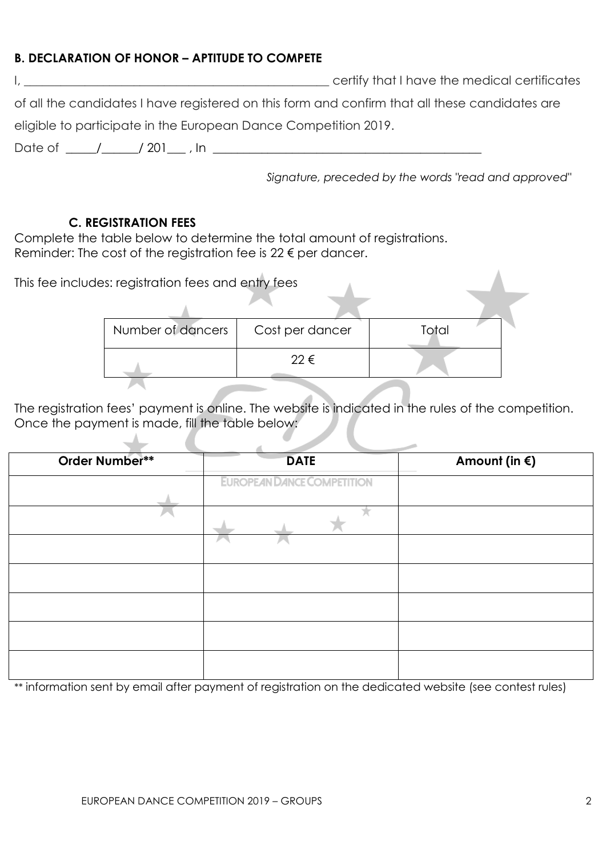### **B. DECLARATION OF HONOR – APTITUDE TO COMPETE**

|                                                                                                | certify that I have the medical certificates |
|------------------------------------------------------------------------------------------------|----------------------------------------------|
| of all the candidates I have registered on this form and confirm that all these candidates are |                                              |
| eligible to participate in the European Dance Competition 2019.                                |                                              |

Date of \_\_\_\_\_/\_\_\_\_\_\_/ 201\_\_\_ , In \_\_\_\_\_\_\_\_\_\_\_\_\_\_\_\_\_\_\_\_\_\_\_\_\_\_\_\_\_\_\_\_\_\_\_\_\_\_\_\_\_\_\_\_

*Signature, preceded by the words "read and approved"*

#### **C. REGISTRATION FEES**

 $\Delta$ 

 $\sim$ 

Complete the table below to determine the total amount of registrations. Reminder: The cost of the registration fee is  $22 \epsilon$  per dancer.

| This fee includes: registration fees and entry fees |                 |       |  |
|-----------------------------------------------------|-----------------|-------|--|
|                                                     |                 |       |  |
| Number of dancers                                   | Cost per dancer | Total |  |
|                                                     | 22 €            |       |  |
|                                                     |                 |       |  |

The registration fees' payment is online. The website is indicated in the rules of the competition. Once the payment is made, fill the table below:

| Order Number** | <b>DATE</b>                       | Amount (in $\xi$ ) |
|----------------|-----------------------------------|--------------------|
|                | <b>EUROPEAN DANCE COMPETITION</b> |                    |
|                |                                   |                    |
|                |                                   |                    |
|                |                                   |                    |
|                |                                   |                    |
|                |                                   |                    |
|                |                                   |                    |
|                |                                   |                    |

\*\* information sent by email after payment of registration on the dedicated website (see contest rules)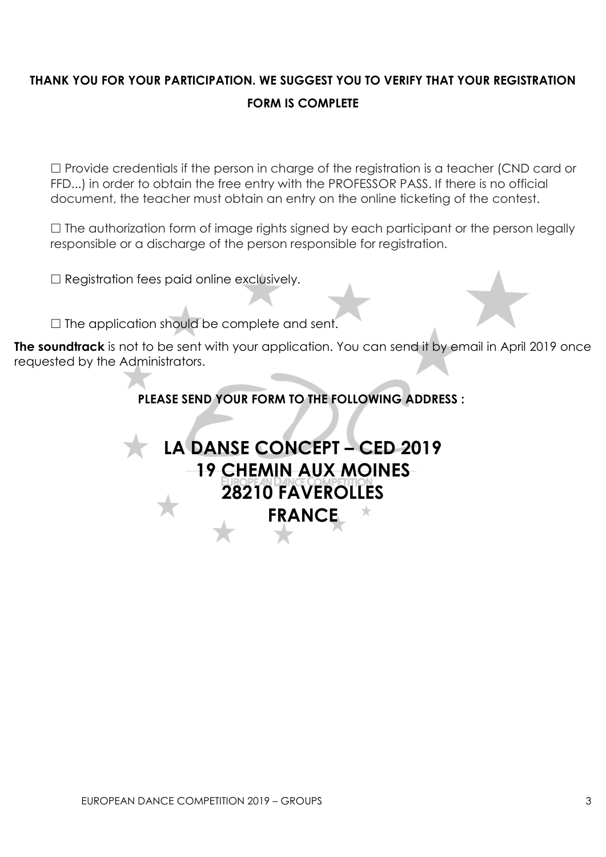## **THANK YOU FOR YOUR PARTICIPATION. WE SUGGEST YOU TO VERIFY THAT YOUR REGISTRATION FORM IS COMPLETE**

 $\Box$  Provide credentials if the person in charge of the registration is a teacher (CND card or FFD...) in order to obtain the free entry with the PROFESSOR PASS. If there is no official document, the teacher must obtain an entry on the online ticketing of the contest.

 $\Box$  The authorization form of image rights signed by each participant or the person legally responsible or a discharge of the person responsible for registration.

 $\Box$  Registration fees paid online exclusively.

 $\Box$  The application should be complete and sent.

**The soundtrack** is not to be sent with your application. You can send it by email in April 2019 once requested by the Administrators.

**PLEASE SEND YOUR FORM TO THE FOLLOWING ADDRESS :**

# **LA DANSE CONCEPT – CED 2019 19 CHEMIN AUX MOINES 28210 FAVEROLLES FRANCE**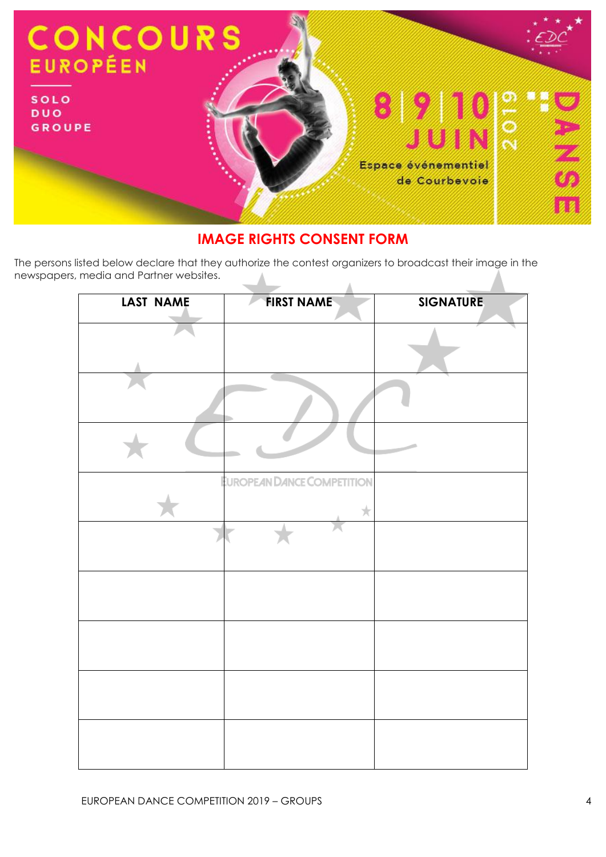

## **IMAGE RIGHTS CONSENT FORM**

The persons listed below declare that they authorize the contest organizers to broadcast their image in the newspapers, media and Partner websites.

| LAST NAME | <b>FIRST NAME</b>                      | <b>SIGNATURE</b> |
|-----------|----------------------------------------|------------------|
|           |                                        |                  |
|           |                                        |                  |
|           |                                        |                  |
|           | <b>EUROPEAN DANCE COMPETITION</b><br>★ |                  |
|           |                                        |                  |
|           |                                        |                  |
|           |                                        |                  |
|           |                                        |                  |
|           |                                        |                  |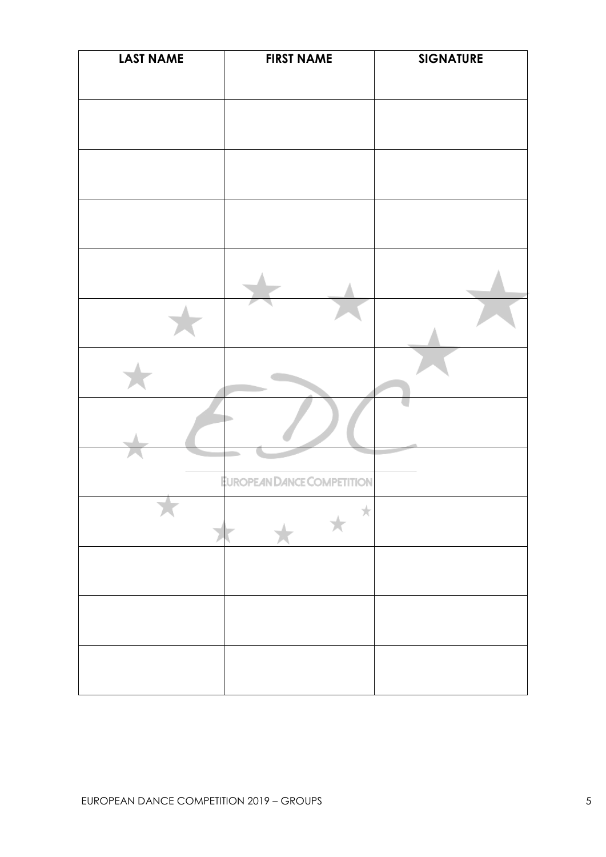| <b>LAST NAME</b> | <b>FIRST NAME</b>          | <b>SIGNATURE</b> |
|------------------|----------------------------|------------------|
|                  |                            |                  |
|                  |                            |                  |
|                  |                            |                  |
|                  |                            |                  |
|                  |                            |                  |
|                  |                            |                  |
|                  |                            |                  |
|                  |                            |                  |
|                  | EUROPEAN DANCE COMPETITION |                  |
|                  | ★                          |                  |
|                  |                            |                  |
|                  |                            |                  |
|                  |                            |                  |